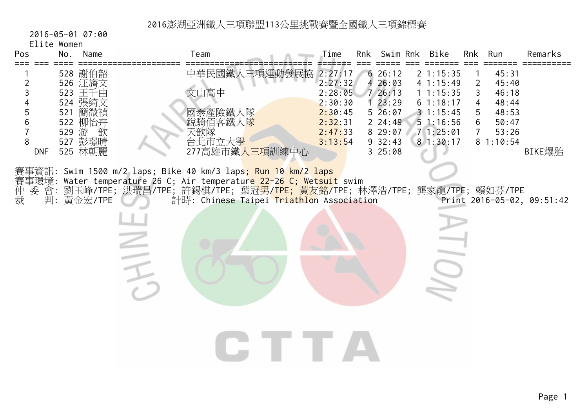2016-05-01 07:00

Elite Women

| Pos<br>No.                                                                                                                           | Name | Team                                                                                                                                                                                                                                                                                                                 | Time                                                                      | Rnk Swim Rnk                                                                                | Bike                                                                                               | Rnk                                                                          | Run                                                                     | Remarks                    |
|--------------------------------------------------------------------------------------------------------------------------------------|------|----------------------------------------------------------------------------------------------------------------------------------------------------------------------------------------------------------------------------------------------------------------------------------------------------------------------|---------------------------------------------------------------------------|---------------------------------------------------------------------------------------------|----------------------------------------------------------------------------------------------------|------------------------------------------------------------------------------|-------------------------------------------------------------------------|----------------------------|
| 528 謝伯韶<br>526 汪旖文<br>2<br>523 王千由<br>3<br>524 張綺文<br>521 簡微禎<br>5<br>522 柳怡卉<br>6<br>529 游<br>8<br>527 彭璟晴<br>525 林朝麗<br><b>DNF</b> | 歆    | 中華民國鐵人三項運動發展協 2:27:17<br>文山高中<br>國泰產險鐵人隊<br>銳騎佰客鐵人隊<br>天歆隊<br>台北市立大學<br>277高雄市鐵人三項訓練中心                                                                                                                                                                                                                               | 2:27:32<br>2:28:05<br>2:30:30<br>2:30:45<br>2:32:31<br>2:47:33<br>3:13:54 | 626:12<br>426:03<br>726:13<br>123:29<br>$5\,26:07$<br>224:49<br>8 29:07<br>932:43<br>325:08 | $2 \; 1:15:35$<br>41:15:49<br>11:15:35<br>61:18:17<br>31:15:45<br>51:16:56<br>71:25:01<br>81:30:17 | $\overline{2}$<br>$\mathsf{3}$<br>4<br>5<br>$6\phantom{.}$<br>7 <sup>1</sup> | 45:31<br>45:40<br>46:18<br>48:44<br>48:53<br>50:47<br>53:26<br>81:10:54 | BIKE爆胎                     |
| 仲裁<br>委 會:<br>判:黃金宏/TPE                                                                                                              |      | 賽事資訊: Swim 1500 m/2 laps; Bike 40 km/3 laps <mark>; Run 10 km/2 laps</mark><br>賽事環境: Water temperature 26 C; Air temperatur <mark>e 22-</mark> 26 C; We <mark>tsuit</mark> swim<br>劉玉峰/TPE; 洪瑞昌/TPE; 許錫棋/TPE; 葉冠男/ <mark>TPE; 黃友銘</mark> /TPE; 林澤浩/TPE; 龔家龍/TPE; 賴如芬/TPE<br>計時: Chinese Taipei Triathlon Association |                                                                           |                                                                                             | III)                                                                                               |                                                                              |                                                                         | Print 2016-05-02, 09:51:42 |
|                                                                                                                                      |      |                                                                                                                                                                                                                                                                                                                      |                                                                           |                                                                                             |                                                                                                    |                                                                              |                                                                         |                            |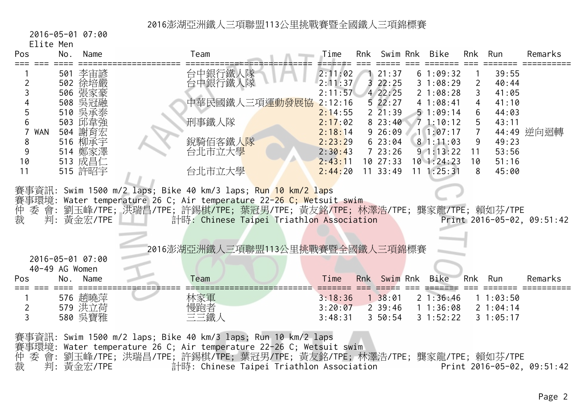2016-05-01 07:00

Elite Men

| Pos                 | No.                   | Name                          | Team               |                                                                                                                                                                                                                                                        | Time                          | Rnk | Swim Rnk                                    | Bike                             | Rnk                      | Run                              | Remarks                    |
|---------------------|-----------------------|-------------------------------|--------------------|--------------------------------------------------------------------------------------------------------------------------------------------------------------------------------------------------------------------------------------------------------|-------------------------------|-----|---------------------------------------------|----------------------------------|--------------------------|----------------------------------|----------------------------|
| 2                   |                       | 501 李宙諺<br>502 徐培嚴            | 台中銀行鐵人隊<br>台中銀行鐵人隊 |                                                                                                                                                                                                                                                        | 2:11:02<br>2:11:37            |     | 121:37<br>322:25                            | 61:09:32<br>31:08:29             | $\overline{2}$           | 39:55<br>40:44                   |                            |
| 5                   |                       | 506 張家豪<br>508 吳冠融<br>510 吳承泰 |                    | 中華民國鐵人三項運 <mark>動發展協</mark>                                                                                                                                                                                                                            | 2:11:57<br>2:12:16<br>2:14:55 |     | $4\,22:25$<br>522:27<br>$2\overline{21:39}$ | 21:08:28<br>41:08:41<br>51:09:14 | 3<br>$\overline{4}$<br>6 | 41:05<br>41:10<br>44:03          |                            |
| 6<br>WAN            |                       | 503 邱韋強<br>504 謝育宏            | 刑事鐵人隊              |                                                                                                                                                                                                                                                        | 2:17:02<br>2:18:14            |     | 823:40<br>926:09                            | 71:10:12<br>11:07:17             | 5<br>$\overline{7}$      | 43:11                            | 44:49 逆向迴轉                 |
| 8<br>9              |                       | 516 柳承宇<br>514 鄭家澤            | 銳騎佰客鐵人隊<br>台北市立大學  |                                                                                                                                                                                                                                                        | 2:23:29<br>2:30:43            |     | 623:04<br>723:26                            | 81:11:03<br>$9\;1:13:22$         | $\overline{9}$<br>11     | 49:23<br>53:56                   |                            |
| 10<br>11            |                       | 513 成昌仁<br>515 許昭宇            | 台北市立大學             |                                                                                                                                                                                                                                                        | 2:43:11<br>2:44:20            |     | 1027:33<br>$11 \quad 33:49$                 | 101:24:23<br>$11 \t1: 25: 31$    | 10<br>8                  | 51:16<br>45:00                   |                            |
| 仲裁                  |                       | 判:黃金宏/TPE                     |                    | 賽事資訊: Swim 1500 m/2 laps; Bike 40 km/3 laps; Run 10 km/2 laps<br>賽事環境: Water temperature 26 C; Air temperature 22-26 C; Wetsuit swim<br>委會:劉玉峰/TPE;洪瑞昌/TPE;許錫棋/TPE;葉冠男/TPE;黃友銘/TPE;林澤浩/TPE;龔家龍/TPE;賴如芬/TPE<br>計時: Chinese Taipei Triathlon Association |                               |     |                                             |                                  |                          |                                  | Print 2016-05-02, 09:51:42 |
|                     |                       | 2016-05-01 07:00              |                    | 2016澎湖亞洲鐵人三項聯盟113公里挑戰賽暨全國鐵人三項錦標賽                                                                                                                                                                                                                       |                               |     |                                             |                                  |                          |                                  |                            |
| Pos                 | 40-49 AG Women<br>No. | Name                          | Team               |                                                                                                                                                                                                                                                        | Time                          |     | Rnk Swim Rnk                                | Bike                             | Rnk                      | Run                              | Remarks                    |
| $\overline{2}$<br>3 |                       | 576 趙曉萍<br>579 洪立荷<br>580 吳寶雅 | 林家軍<br>慢跑者<br>三三鐵人 |                                                                                                                                                                                                                                                        | 3:18:36<br>3:20:07<br>3:48:31 |     | 138:01<br>$2 \t39:46$<br>$3\;\;50:54$       | 21:36:46<br>11:36:08<br>31:52:22 |                          | 11:03:50<br>21:04:14<br>31:05:17 |                            |
|                     |                       |                               |                    | 賽事資訊: Swim 1500 m/2 laps; Bike 40 km/3 laps; Run 10 km/2 laps                                                                                                                                                                                          |                               |     |                                             |                                  |                          |                                  |                            |

賽事環境: Water temperature 26 C; Air temperature 22-26 C; Wetsuit swim

仲 委 會: 劉玉峰/TPE; 洪瑞昌/TPE; 許錫棋/TPE; 葉冠男/TPE; 黃友銘/TPE; 林澤浩/TPE; 龔家龍/TPE; 賴如芬/TPE

裁 判: 黃金宏/TPE 計時: Chinese Taipei Triathlon Association Print 2016-05-02, 09:51:42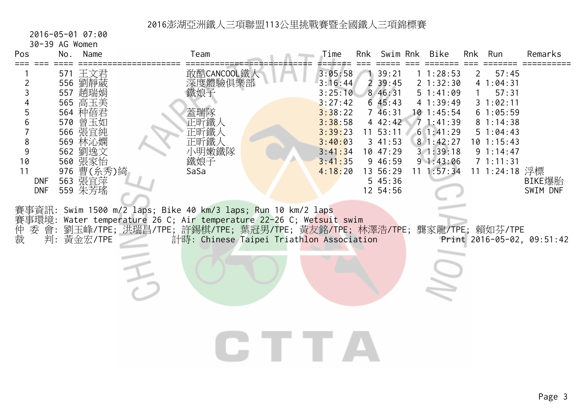2016-05-01 07:00

30-39 AG Women

| Pos                                                                | No. | Name                                                                                                                                           | Team                                                                                                                                                                                                                                                       | Time                                                                                                                  | Rnk            | Swim Rnk                                                                                                                                    | Bike                                                                                                                                       | Rnk                       | Run                                                                                                                                   | Remarks                    |
|--------------------------------------------------------------------|-----|------------------------------------------------------------------------------------------------------------------------------------------------|------------------------------------------------------------------------------------------------------------------------------------------------------------------------------------------------------------------------------------------------------------|-----------------------------------------------------------------------------------------------------------------------|----------------|---------------------------------------------------------------------------------------------------------------------------------------------|--------------------------------------------------------------------------------------------------------------------------------------------|---------------------------|---------------------------------------------------------------------------------------------------------------------------------------|----------------------------|
| 2<br>3<br>5<br>6<br>8<br>9<br>10<br>11<br><b>DNF</b><br><b>DNF</b> |     | 571 王文君<br>556 劉靜葳<br>557 趙瑞娟<br>565 高玉美<br>564 种蓓君<br>570 曾玉如<br>566 張宜純<br>569 林沁嫻<br>562 劉逸文<br>560 張家怡<br>976 曹(糸秀)綺<br>563 張宜萍<br>559 朱芳瑤 | 敢酷CANCOOL鐵人<br>深度體驗俱樂部<br>鐵娘子<br>蓋瑞隊<br>正昕鐵人<br>正昕鐵人<br>正昕鐵人<br>小明嫩鐵隊<br>鐵娘子<br>SaSa                                                                                                                                                                       | 3:05:58<br>3:16:44<br>3:25:10<br>3:27:42<br>3:38:22<br>3:38:58<br>3:39:23<br>3:40:03<br>3:41:34<br>3:41:35<br>4:18:20 | $\overline{2}$ | 39:21<br>39:45<br>8 46:31<br>645:43<br>746:31<br>4 42:42<br>$11 \t53:11$<br>341:53<br>10 47:29<br>9 46:59<br>13 56:29<br>545:36<br>12 54:56 | 11:28:53<br>21:32:30<br>51:41:09<br>41:39:49<br>$10$ 1:45:54<br>71:41:39<br>61:41:29<br>81:42:27<br>31:39:18<br>91:43:06<br>$11 \t1:57:34$ | $\mathbf{2}^{\mathsf{I}}$ | 57:45<br>41:04:31<br>57:31<br>31:02:11<br>61:05:59<br>81:14:38<br>51:04:43<br>$10$ $1:15:43$<br>91:14:47<br>71:11:31<br>11 1:24:18 浮標 | BIKE爆胎<br>SWIM DNF         |
| 仲裁<br>委 會:                                                         |     | 判: 黃金宏/TPE                                                                                                                                     | 賽事資訊: Swim 1500 m/2 laps; Bike 40 km/3 laps; Run 10 km/2 laps<br>賽事環境: Water temperature 26 C; Air temperature 22-26 C; Wetsuit swim<br>劉玉峰/TPE; 洪瑞昌/TPE; 許錫棋/TPE; 葉冠男/TPE; 黃友銘/TPE; 林澤浩/TPE; 龔家龍/TPE; 賴如芬/TPE<br>計時: Chinese Taipei Triathlon Association |                                                                                                                       |                |                                                                                                                                             |                                                                                                                                            |                           |                                                                                                                                       | Print 2016-05-02, 09:51:42 |
|                                                                    |     |                                                                                                                                                |                                                                                                                                                                                                                                                            |                                                                                                                       |                |                                                                                                                                             |                                                                                                                                            |                           |                                                                                                                                       |                            |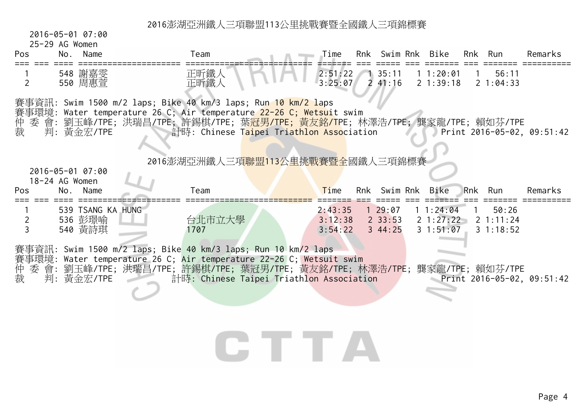2016-05-01 07:00

| $25-29$ AG Womer |  |  |
|------------------|--|--|
|------------------|--|--|

| Pos               | 25-29 AG Women<br>No.<br>Name           | Team                                                                                                                                                                                                                                                                                                                                          | Time                          | Rnk Swim Rnk                     | Bike                              | Rnk | Run                            | Remarks                             |
|-------------------|-----------------------------------------|-----------------------------------------------------------------------------------------------------------------------------------------------------------------------------------------------------------------------------------------------------------------------------------------------------------------------------------------------|-------------------------------|----------------------------------|-----------------------------------|-----|--------------------------------|-------------------------------------|
| 2                 | 548 謝嘉雯<br>550 周惠萱                      | 正昕鐵人<br>正昕鐵人                                                                                                                                                                                                                                                                                                                                  | 2:51:22<br>3:25:07            | 135:11<br>241:16                 | 11:20:01<br>21:39:18              |     | 56:11<br>21:04:33              |                                     |
| 仲裁<br>委           | 判: 黃金宏/TPE                              | 賽事資訊: Swim 1500 m/2 laps; Bike 40 km/3 laps; Run <mark>10 km/2 la</mark> ps<br>賽事環境: Water temperature 26 C; Air temperature 22-26 C; Wetsuit swim<br>會: 劉玉峰/TPE; 洪瑞昌/TPE; 許錫棋/TPE; 葉 <mark>冠男/TPE; 黃友銘/T</mark> PE; 林澤浩/TPE; 龔家龍/TPE; 賴如芬/TPE<br>計時: Chinese Taipei Triathlon Association<br>2016澎湖亞洲鐵人三項 <mark>聯盟113公里挑戰賽暨全</mark> 國鐵人三項錦標賽 |                               |                                  |                                   |     |                                | Print 2016-05-02, 09:51:42          |
|                   | 2016-05-01 07:00<br>18-24 AG Women      |                                                                                                                                                                                                                                                                                                                                               |                               |                                  |                                   |     |                                |                                     |
| Pos               | No.<br>Name                             | Team                                                                                                                                                                                                                                                                                                                                          | Time                          | Rnk Swim Rnk                     | Bike                              | Rnk | Run                            | Remarks                             |
| $\mathbf{2}$<br>3 | 539 TSANG KA HUNG<br>536 彭璟喻<br>540 黃詩琪 | 台北市立大學<br>1707                                                                                                                                                                                                                                                                                                                                | 2:43:35<br>3:12:38<br>3:54:22 | 129:07<br>$2 \, 33:53$<br>344:25 | 11:24:04<br>2 1:27:22<br>31:51:07 |     | 50:26<br>2 1:11:24<br>31:18:52 |                                     |
| 委 會:<br>仲裁        | 判: 黃金宏/TPE                              | 賽事資訊: Swim 1500 m/2 laps; Bike 40 km/3 laps; Run 10 km/2 laps<br>賽事環境: Water temperature 26 C; Air temperature 22-26 C; Wetsuit swim<br>劉玉峰/TPE; 洪瑞昌/TPE; 許錫棋/TPE; 葉冠男/TPE; 黃友銘/TPE; 林澤浩/TPE; 龔家龍/TPE; 賴如芬/TPE<br>計時: Chinese Taipei Triathlon Association                                                                                    |                               |                                  |                                   |     |                                | Print $2016 - 05 - 02$ , $09:51:42$ |
|                   |                                         |                                                                                                                                                                                                                                                                                                                                               |                               |                                  |                                   |     |                                |                                     |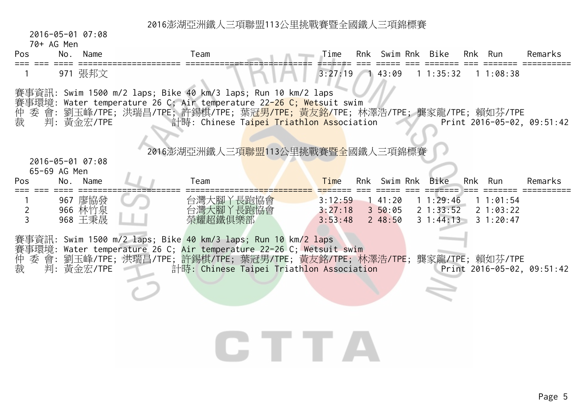2016-05-01 07:08

| Pos        | No.             | Name | eam                                                    | Time     | Rnk  | Swim  | <b>Rnk</b> | <b>Bike</b> | Rnk | Run    | ≀emarks  |
|------------|-----------------|------|--------------------------------------------------------|----------|------|-------|------------|-------------|-----|--------|----------|
| ___<br>--- | __              |      | ________________________<br>___________<br>_____<br>__ | -------- | ____ | $ -$  |            |             |     |        | ________ |
|            | 97 <sup>°</sup> | ⊣⊢   |                                                        |          |      | 43:09 |            | .25.22<br>. |     | :08:38 |          |

賽事資訊: Swim 1500 m/2 laps; Bike 40 km/3 laps; Run 10 km/2 laps

- 事環境: Water temperature 26 C; Air temperature 2<mark>2-26 C; Wets</mark>uit swim
- 仲 委 會: 劉玉峰/TPE; 洪瑞昌/TPE; 許錫棋/TPE; 葉冠男/TPE; 黃友銘/TPE; 林澤浩/TPE; 龔家龍/TPE; 賴如芬/TPE
- 計時: Chinese Taipei Triathlon Association Print 2016-05-02, 09:51:42

#### 2016澎湖亞洲鐵人三項<mark>聯盟</mark>113公里挑戰賽暨全國鐵人三項錦標賽

 2016-05-01 07:08 $CF$  $CO$  $AC$  $M$ 

| Pos | ווסוו טח כט ניט<br>No.<br>Name         | Team                                    | Time                          | Rnk | Swim Rnk                                                                                                       | Bike | <b>Rnk</b> | Run | Remarks |
|-----|----------------------------------------|-----------------------------------------|-------------------------------|-----|----------------------------------------------------------------------------------------------------------------|------|------------|-----|---------|
|     | 廖協發<br>967<br>林竹泉<br>966<br>王秉晟<br>968 | 長跑協會<br>台灣大腳<br>台灣大腳<br>長跑協會<br>榮耀超鐵俱樂部 | 3:12:59<br>3:27:18<br>3:53:48 |     | $1, 41:20$ 1 1:29:46 1 1:01:54<br>$3\ 50:05$ $2\ 1:33:52$ $2\ 1:03:22$<br>$2, 48:50$ $3, 1:44:13$ $3, 1:20:47$ |      |            |     |         |

賽事資訊: Swim 1500 m/2 laps; Bike 40 km/3 laps; Run 10 km/2 laps 賽事環境: Water temperature 26 C; <mark>Air temperature 22-26</mark> C; Wetsuit swim<br>仲 委 會: 劉玉峰/TPE; 洪瑞昌/TPE; 許錫棋/TPE; 葉冠男/TPE; 黃友銘/TPE; 材 ,<br>- "委 會: 劉玉峰/TPE; 洪瑞昌/TPE; 許錫棋/TPE; 葉冠男/TPE; 黃友銘/TPE; 林澤浩/TPE; 龔家龍/TPE; 賴如芬/TPE<br>- 判: 黃金宏/TPE 計時: Chinese Taipei Triathlon Association Print 2016-05-02, 裁 判: 黃金宏/TPE 計時: Chinese Taipei Triathlon Association Print 2016-05-02, 09:51:42

# CHITTEA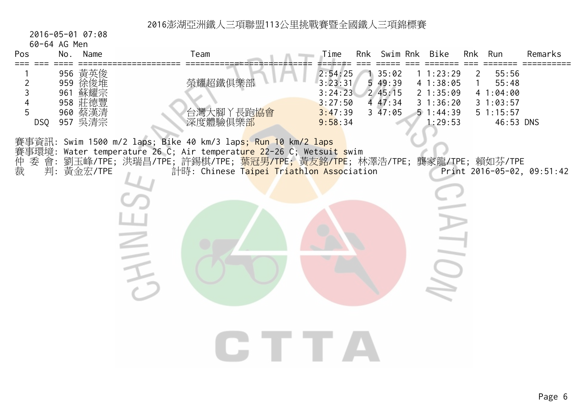2016-05-01 07:08

 $\geq$ 

60-64 AG Men

| Pos | No.                                    | Name                                   | Team                                       | Time                                                           | Rnk | Swim Rnk                                                  |   | <b>Bike</b>                                                      | Rnk | Run                                                              | Remarks |
|-----|----------------------------------------|----------------------------------------|--------------------------------------------|----------------------------------------------------------------|-----|-----------------------------------------------------------|---|------------------------------------------------------------------|-----|------------------------------------------------------------------|---------|
| DSQ | 956<br>959<br>961<br>958<br>960<br>957 | 黃英俊<br>徐俊堆<br>蘇耀宗<br>莊德豐<br>蔡漢清<br>吳清宗 | 榮耀超鐵俱樂部<br>灣<br>大腳<br>長跑協會<br>台<br>深度體驗俱樂部 | 2:54:25<br>3:23:31<br>3:24:23<br>3:27:50<br>3:47:39<br>9:58:34 |     | 35:02<br>549:39<br>245:15<br>47:34<br>$3\overline{47:05}$ | 4 | : 23:29<br>1:38:05<br>21:35:09<br>1:36:20<br>51:44:39<br>1:29:53 | 4   | 55:56<br>55:48<br>:04:00<br>:03:57<br>$5 \t1:15:57$<br>46:53 DNS |         |

CTTA

賽事資訊: Swim 1500 m/2 laps; Bike 40 km/3 laps; Run 10 km/2 laps 賽事環境: Water temperature 26 C; Air temperat<mark>ure 2</mark>2-26 C; Wetsuit swim 仲 委 會: 劉玉峰/TPE; 洪瑞昌/TPE; 許錫棋/TPE; <mark>葉冠男/TPE;</mark> 黃友銘/<mark>TPE</mark>; 林澤浩/TPE; 龔家龍/TPE; 賴如芬/TPE 裁 判: 黃金宏/TPE 計時: Chinese T<mark>aipei Triathlon Asso</mark>ciation Print 2016-05-02, 09:51:42

 $\overline{O}$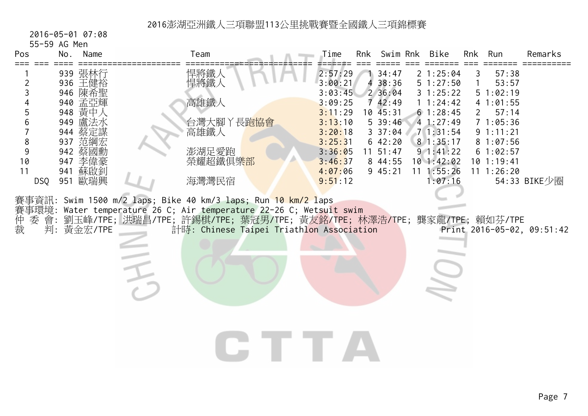2016-05-01 07:08

55-59 AG Men

| Pos                                                    | No. | Name                                                                                                                                           | Team                                                                                                                                                                                                                                                                                                                                                             | Time                                                                                                                             | Rnk | Swim Rnk                                                                                                               | Bike                                                                                                                                                   | Rnk    | Run                                                                                                                                               | Remarks                                    |
|--------------------------------------------------------|-----|------------------------------------------------------------------------------------------------------------------------------------------------|------------------------------------------------------------------------------------------------------------------------------------------------------------------------------------------------------------------------------------------------------------------------------------------------------------------------------------------------------------------|----------------------------------------------------------------------------------------------------------------------------------|-----|------------------------------------------------------------------------------------------------------------------------|--------------------------------------------------------------------------------------------------------------------------------------------------------|--------|---------------------------------------------------------------------------------------------------------------------------------------------------|--------------------------------------------|
| 2<br>3<br>6<br>8<br>9<br>10<br>11<br>DSQ<br>仲裁<br>委 會: |     | 939 張林行<br>936 王健裕<br>946 陳希聖<br>940 孟亞輝<br>948 黄中人<br>949 盧法水<br>944 蔡定謀<br>937 范綱宏<br>942 蔡國勳<br>947 李偉豪<br>941 蘇啟釗<br>951 歐瑞興<br>判: 黃金宏/TPE | 悍將鐵人<br>悍將鐵人<br>高雄鐵人<br>台灣大腳丫長跑協會<br>高雄鐵人<br>澎湖足愛跑<br>榮耀超鐵俱樂 <mark>部</mark><br>海灣灣民宿<br>賽事資訊: Swim 1500 m/2 laps; Bike 40 km/3 laps; Run <mark>10 km/2 l</mark> aps<br>賽事環境: Water temperature 26 C; Air temperature 22-26 C; Wetsuit swim<br>劉玉峰/TPE; 洪瑞昌/TPE; 許錫棋/TPE; 葉冠男/TPE; 黃友銘/TPE; 林澤浩/TPE; 龔家龍/TPE; 賴如芬/TPE<br>計時: Chinese Taipei Triathlon Association | 2:57:29<br>3:00:21<br>3:03:45<br>3:09:25<br>3:11:29<br>3:13:10<br>3:20:18<br>3:25:31<br>3:36:05<br>3:46:37<br>4:07:06<br>9:51:12 | 4   | 34:47<br>38:36<br>2 36:04<br>742:49<br>10 45:31<br>$5\,39:46$<br>337:04<br>642:20<br>$11 \t51:47$<br>8 44:55<br>945:21 | 21:25:04<br>51:27:50<br>31:25:22<br>1 1:24:42<br>61:28:45<br>41:27:49<br>71:31:54<br>81:35:17<br>91:41:22<br>$10$ 1:42:02<br>$11 \t1:55:26$<br>1:07:16 | 3<br>1 | 57:38<br>53:57<br>51:02:19<br>41:01:55<br>57:14<br>$2^{\circ}$<br>71:05:36<br>9 1:11:21<br>81:07:56<br>61:02:57<br>$10$ 1:19:41<br>$11 \t1:26:20$ | 54:33 BIKE少圈<br>Print 2016-05-02, 09:51:42 |
|                                                        |     |                                                                                                                                                |                                                                                                                                                                                                                                                                                                                                                                  |                                                                                                                                  |     |                                                                                                                        |                                                                                                                                                        |        |                                                                                                                                                   |                                            |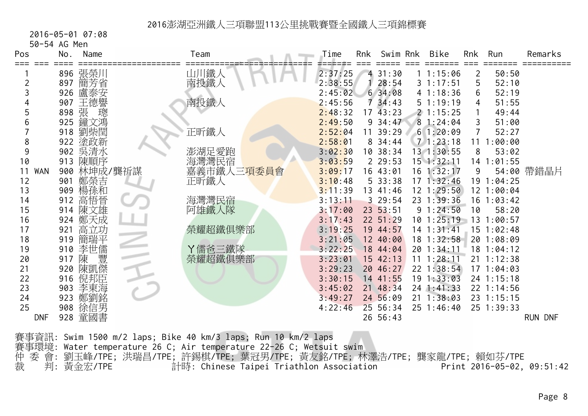2016-05-01 07:08

50-54 AG Men

| Pos              | No. | Name    | Team       | Time    | Rnk | Swim Rnk              | Bike           | Rnk            | Run            | Remarks    |
|------------------|-----|---------|------------|---------|-----|-----------------------|----------------|----------------|----------------|------------|
|                  |     | 896 張榮川 | 山川鐵人       | 2:37:25 |     | 431:30                | 1:15:06        | 2              | 50:50          |            |
|                  | 897 | 簡芳省     | 南投鐵人       | 2:38:55 |     | 28:54                 | 31:17:51       | 5              | 52:10          |            |
|                  | 926 | 盧泰安     |            | 2:45:02 |     | 634:08                | 41:18:36       | 6              | 52:19          |            |
|                  | 907 | 王德譽     | 南投鐵人       | 2:45:56 |     | 734:43                | 51:19:19       | 4              | 51:55          |            |
|                  | 898 | 張<br>璁  |            | 2:48:32 |     | $17 \overline{43:}23$ | 21:15:25       | 1              | 49:44          |            |
|                  | 925 | 鐘文鴻     |            | 2:49:50 |     | 934:47                | 81:24:04       | 3              | 51:00          |            |
|                  | 918 | 劉柴閏     | 正昕鐵人       | 2:52:04 | 11  | 39:29                 | 61:20:09       | $\overline{7}$ | 52:27          |            |
| 8                | 922 | 塗政新     |            | 2:58:01 |     | 834:44                | 71:23:18       |                | 11 1:00:00     |            |
| 9                | 902 | 吳清水     | 澎湖足愛跑      | 3:02:30 |     | 10 38:34              | 13 1:30:55     | 8              | 53:02          |            |
| 10               | 913 | 陳順序     | 海灣灣民宿      | 3:03:59 |     | 229:53                | 15 1:32:11     |                | 14 1:01:55     |            |
| <b>WAN</b><br>11 | 900 | 林坤成/龔祈謀 | 嘉義市鐵人三項委員會 | 3:09:17 |     | 16 43:01              | 16 1:32:17     | 9              |                | 54:00 帶錯晶片 |
| 12               | 901 | 鄭榮吉     | 正昕鐵人       | 3:10:48 |     | 533:38                | 171:32:46      |                | 19 1:04:25     |            |
| 13               | 909 | 楊孫和     |            | 3:11:39 |     | 13 41:46              | 12 1:29:50     |                | 12 1:00:04     |            |
| 14               | 912 | 高悟晉     | 海灣灣民宿      | 3:13:11 |     | 329:54                | 23 1:39:36     |                | $16$ 1:03:42   |            |
| 15               |     | 914 陳文雄 | 阿雄鐵人隊      | 3:17:00 |     | 23 53:51              | 91:24:50       | 10             | 58:20          |            |
| 16               |     | 924 鄭天成 |            | 3:17:43 |     | 22 51:29              | $10$ $1:25:19$ | 13             | 1:00:57        |            |
| 17               | 921 | 高立功     | 榮耀超鐵俱樂部    | 3:19:25 |     | 19 44:57              | 14 1:31:41     |                | $15 \t1:02:48$ |            |
| 18               | 919 | 簡瑞平     |            | 3:21:05 |     | 12 40:00              | 18 1:32:58     |                | 20 1:08:09     |            |
| 19               | 910 | 李世儒     | Y儒爸三鐵隊     | 3:22:25 |     | 18 44:04              | 20 1:34:11     |                | $18$ 1:04:12   |            |
| 20               | 917 | 豐<br>陳  | 榮耀超鐵俱樂部    | 3:23:01 |     | 1542:13               | 11 1:28:11     |                | 21 1:12:38     |            |
| 21               | 920 | 陳凱傑     |            | 3:29:23 |     | 20 46:27              | 22 1:38:54     |                | 171:04:03      |            |
| 22               | 916 | 倪邦臣     |            | 3:30:15 |     | 14 41:55              | 191:33:03      |                | 24 1:15:18     |            |
| 23               | 903 | 李東海     |            | 3:45:02 |     | 21 48:34              | $24$ 1:41:33   |                | 22 1:14:56     |            |
| 24               | 923 | 鄭劉銘     |            | 3:49:27 |     | 24 56:09              | $21 \t1:38:03$ |                | 23 1:15:15     |            |
| 25               | 908 | 徐信男     |            | 4:22:46 |     | 25 56:34              | $25 \t1:46:40$ |                | 25 1:39:33     |            |
| <b>DNF</b>       |     | 928 童國書 |            |         |     | 26 56:43              |                |                |                | RUN DNF    |

賽事資訊: Swim 1500 m/2 laps; Bike 40 km/3 laps; Run 10 km/2 laps 賽事環境: Water temperature 26 C; Air temperature 22-26 C; Wetsuit swim 仲 委 會: 劉玉峰/TPE; 洪瑞昌/TPE; 許錫棋/TPE; 葉冠男/TPE; 黃友銘/TPE; 林澤浩/TPE; 龔家龍/TPE; 賴如芬/TPE 裁 判: 黃金宏/TPE 計時: Chinese Taipei Triathlon Association Print 2016-05-02, 09:51:42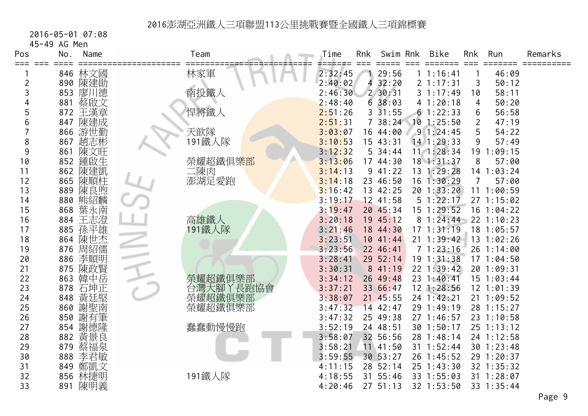2016-05-01 07:08

45-49 AG Men

| Pos<br>≡≡≡ | No. | Name    | Team                  | Time    | Rnk | Swim Rnk     | Bike           | Rnk | Run            | Remarks |
|------------|-----|---------|-----------------------|---------|-----|--------------|----------------|-----|----------------|---------|
|            |     | 846 林文國 | 林家軍                   | 2:32:45 |     | 29:56        | 1 1:16:41      |     | 46:09          |         |
| 2          |     | 890 陳建勛 |                       | 2:40:02 | 4   | 32:20        | 21:17:31       | 3   | 50:12          |         |
| 3          | 853 | 廖川德     | 南投鐵人                  | 2:46:30 |     | $2\,30:31$   | 31:17:49       | 10  | 58:11          |         |
| 4          | 881 | 蔡啟文     |                       | 2:48:40 |     | 638:03       | 41:20:18       | 4   | 50:20          |         |
| 5          | 872 | 王漢章     | 悍將鐵人                  | 2:51:26 |     | $3\;\;31:55$ | 61:22:33       | 6   | 56:58          |         |
| 6          | 847 | 陳建成     |                       | 2:51:31 |     | 738:24       | $10$ 1:25:50   | 2   | 47:19          |         |
|            | 866 | 游世勤     | 天歆隊                   | 3:03:07 |     | 16 44:00     | 91:24:45       | 5   | 54:22          |         |
| 8          | 867 | 趙志彬     | 191鐵人隊                | 3:10:53 |     | 15 43:31     | 14 1:29:33     | 9   | 57:49          |         |
| 9          | 861 | 陳文旺     |                       | 3:12:32 |     | 534:44       | 11 1:28:34     |     | 19 1:09:15     |         |
| 10         | 852 | 鍾啟生     | 榮耀超鐵俱樂 <mark>部</mark> | 3:13:06 |     | 17 44:30     | 18 1:31:37     | 8   | 57:00          |         |
| 11         | 862 | 陳建凱     | 二陳肉                   | 3:14:13 |     | 941:22       | 13 1:29:28     |     | 14 1:03:24     |         |
| 12         | 865 | 陳順柱     | 澎湖足愛跑                 | 3:14:18 |     | 23 46:50     | $16$ $1:30:29$ | 7   | 57:00          |         |
| 13         | 889 | 陳良煦     |                       | 3:16:42 |     | 13 42:25     | 20 1:33:20     |     | 111:00:59      |         |
| 14         |     | 880 熊紹麟 |                       | 3:19:17 |     | 12 41:58     | 51:22:17       |     | 271:15:02      |         |
| 15         | 868 | 葉永南     |                       | 3:19:47 |     | 20 45:34     | 15 1:29:52     |     | 16 1:04:22     |         |
| 16         | 884 | 王志澄     | 高雄鐵人<br>191鐵人隊        | 3:20:18 |     | 19 45:12     | 81:24:44       |     | 22 1:10:23     |         |
| 17         | 885 | 孫平雄     |                       | 3:21:46 |     | 18 44:30     | 171:31:19      |     | 18 1:05:57     |         |
| 18         |     | 864 陳世杰 |                       | 3:23:51 |     | 1041:44      | $21 \t1:39:42$ |     | 13 1:02:26     |         |
| 19         | 876 | 周紹儒     |                       | 3:23:56 |     | 22 46:41     | 71:23:16       |     | 26 1:14:00     |         |
| 20         | 886 | 李順明     |                       | 3:28:41 |     | 29 52:14     | 19 1:31:38     |     | 171:04:50      |         |
| 21         | 875 | 陳政賢     |                       | 3:30:31 |     | 8 41:19      | $22$ 1:39:42   |     | 20 1:09:31     |         |
| 22         | 863 | 韓中岳     | 榮耀超鐵俱樂部               | 3:34:12 |     | 26 49:48     | 23 1:40:41     |     | $15$ $1:03:44$ |         |
| 23         | 878 | 石坤正     | 台灣大腳丫長跑協會             | 3:37:21 |     | 33 66:47     | $12$ $1:28:56$ |     | $12$ $1:01:39$ |         |
| 24         | 848 | 黃廷堅     | 榮耀超鐵俱樂部               | 3:38:07 |     | 21 45:55     | 24 1:42:21     |     | 21 1:09:52     |         |
| 25         | 860 | 謝聖南     | 榮耀超鐵俱樂部               | 3:47:32 |     | 14 42:47     | 29 1:49:19     |     | 28 1:15:27     |         |
| 26         | 850 | 謝有筆     |                       | 3:47:32 |     | 25 49:38     | 27 1:46:57     |     | 23 1:10:58     |         |
| 27         | 854 | 謝德隆     | 蠢蠢動慢慢跑                | 3:52:19 |     | 24 48:51     | 30 1:50:17     |     | 25 1:13:12     |         |
| 28         | 882 | 黃景良     |                       | 3:58:07 |     | 32 56:56     | 28 1:48:14     |     | 24 1:12:58     |         |
| 29         | 879 | 蔡福泉     |                       | 3:58:21 |     | 11 41:50     | 31 1:52:44     |     | 30 1:23:48     |         |
| 30         | 888 | 李君敏     |                       | 3:59:55 |     | 30 53:27     | 26 1:45:52     |     | 29 1:20:37     |         |
| 31         | 849 | 鄭凱文     |                       | 4:11:15 |     | 28 52:14     | 25 1:43:30     |     | 32 1:35:32     |         |
| 32         | 856 | 林捷明     | 191鐵人隊                | 4:18:55 | 31  | 55:46        | 33 1:55:03     |     | 31 1:28:07     |         |
| 33         | 891 | 陳明義     |                       | 4:20:46 |     | 27, 51:13    | 32 1:53:50     |     | 33 1:35:44     |         |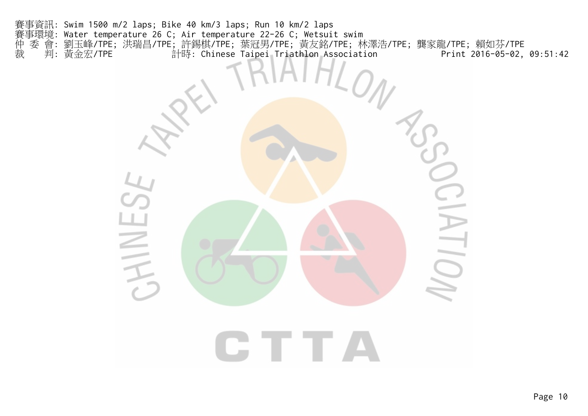賽事資訊: Swim 1500 m/2 laps; Bike 40 km/3 laps; Run 10 km/2 laps 賽事環境: Water temperature 26 C; Air temperature 22-26 C; Wetsuit swim 仲 委 會: 劉玉峰/TPE; 洪瑞昌/TPE; 許錫棋/TPE; 葉冠男/TPE; 黃友銘/TPE; 林澤浩/TPE; 龔家龍/TPE; 賴如芬/TPE 裁 判: 黃金宏/TPE 計時: Chinese Taipei Triathlon Association Print 2016-05-02, 09:51:42

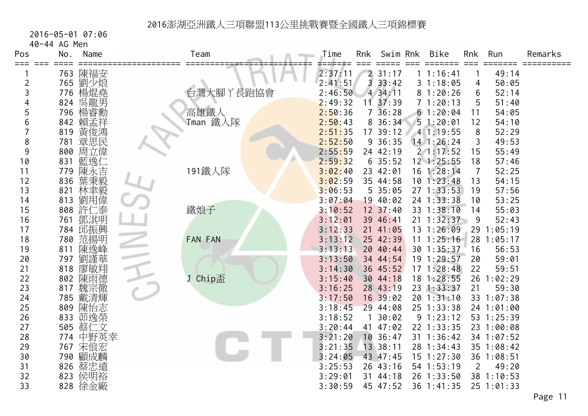2016-05-01 07:06

40-44 AG Men

| Pos            | Name<br>No.       | Team                              | Time    | Rnk            | Swim Rnk   | Bike           | Rnk            | Run        | Remarks |
|----------------|-------------------|-----------------------------------|---------|----------------|------------|----------------|----------------|------------|---------|
| === ===        | 763 陳福安           |                                   | 2:37:11 |                | 231:17     | 1 1:16:41      |                | 49:14      |         |
| $\overline{c}$ | 劉少烺<br>765        |                                   | 2:41:51 | $\overline{3}$ | 33:42      | 31:18:05       | 4              | 50:05      |         |
| 3              | 楊焜堯<br>776        | 台灣大腳丫長跑協會                         | 2:46:50 |                | 434:11     | 81:20:26       | 6              | 52:14      |         |
|                | 吳龍男<br>824        |                                   | 2:49:32 | 11             | 37:39      | 71:20:13       | 5              | 51:40      |         |
| 5              | 楊睿勳<br>796        |                                   | 2:50:36 | 7 <sup>1</sup> | 36:28      | 61:20:04       | 11             | 54:05      |         |
| 6              | 842<br>賴孟祥        | 高雄鐵人<br>Tman 鐵人隊                  | 2:50:43 |                | 8 36:34    | 51:20:01       | 12             | 54:10      |         |
|                | 黃俊鴻<br>819        |                                   | 2:51:35 |                | 17 39:12   | 41:19:55       | 8              | 52:29      |         |
| 8              | 章思民<br>781        |                                   | 2:52:50 |                | $9\;36:35$ | $14$ 1:26:24   | 3              | 49:53      |         |
| 9              | 周立偉<br>800        |                                   | 2:55:59 |                | 24 42:19   | 21:17:52       | 15             | 55:49      |         |
| 10             | 藍逸仁<br>831        |                                   | 2:59:32 |                | 635:52     | $12$ $1:25:55$ | 18             | 57:46      |         |
| 11             | 陳永吉<br>779        | 191鐵人隊                            | 3:02:40 |                | 23 42:01   | 16 1:28:14     | 7              | 52:25      |         |
| 12             | 葉秉毅<br>836        |                                   | 3:02:59 |                | 35 44:58   | 101:23:48      | 13             | 54:15      |         |
| 13             | 821               |                                   | 3:06:53 |                | 535:05     | 271:33:53      | 19             | 57:56      |         |
| 14             | 林聿毅<br>劉用偉<br>813 |                                   | 3:07:04 |                | 19 40:02   | 24 1:33:38     | 10             | 53:25      |         |
| 15             | 許仁泰<br>808        | 鐵娘子                               | 3:10:52 |                | 12 37:40   | 33 1:38:10     | 14             | 55:03      |         |
| 16             | 鄧淇明<br>761        |                                   | 3:12:01 |                | 39 46:41   | 21 1:32:37     | 9              | 52:43      |         |
| 17             | 784 邱振興           |                                   | 3:12:33 |                | 21 41:05   | 13 1:26:09     |                | 29 1:05:19 |         |
| 18             | 780<br>范揚明        | FAN FAN                           | 3:13:12 |                | 25 42:39   | $11 \t1:25:16$ |                | 28 1:05:17 |         |
| 19             | 陳逸峰<br>811        |                                   | 3:13:13 |                | 20 40:44   | 30 1:35:37     | 16             | 56:53      |         |
| 20             | 劉謹華<br>797        |                                   | 3:13:50 |                | 34 44:54   | 19 1:29:57     | 20             | 59:01      |         |
| 21             | 廖敏翔<br>818        |                                   | 3:14:30 |                | 36 45:52   | $17 \t1:28:48$ | 22             | 59:51      |         |
| 22             | 陳雨德<br>802        | Chip $\overline{\mathbb{A}}$<br>J | 3:15:40 |                | 30 44:18   | 18 1:28:55     |                | 26 1:02:29 |         |
| 23             | 魏宗徹<br>817        |                                   | 3:16:25 |                | 28 43:19   | 23 1:33:37     | 21             | 59:30      |         |
| 24             | 785<br>戴清輝        |                                   | 3:17:50 |                | 16 39:02   | 20 1:31:10     |                | 33 1:07:38 |         |
| 25             | 陳怡志<br>809        |                                   | 3:18:45 |                | 29 44:08   | 25 1:33:38     |                | 24 1:01:00 |         |
| 26             | 833<br>茆逸榮        |                                   | 3:18:52 |                | 30:02      | 9 1:23:12      |                | 53 1:25:39 |         |
| 27             | 505<br>蔡仁文        |                                   | 3:20:44 | 41             | 47:02      | 22 1:33:35     |                | 23 1:00:08 |         |
| 28             | 中野英幸<br>774       |                                   | 3:21:20 |                | 10 36:47   | 31 1:36:42     |                | 34 1:07:52 |         |
| 29             | 767<br>宋俍宏        |                                   | 3:21:35 |                | 13 38:11   | 28 1:34:43     |                | 35 1:08:42 |         |
| 30             | 顧成麟<br>790        |                                   | 3:24:05 |                | 43 47:45   | $15$ $1:27:30$ |                | 36 1:08:51 |         |
| 31             | 826 蔡忠遠           |                                   | 3:25:53 |                | 26 43:16   | 54 1:53:19     | $\overline{2}$ | 49:20      |         |
| 32             | 侯明裕<br>823        |                                   | 3:29:01 |                | 31 44:18   | 26 1:33:50     |                | 38 1:10:53 |         |
| 33             | 828 徐金廠           |                                   | 3:30:59 |                | 45 47:52   | 36 1:41:35     |                | 25 1:01:33 |         |

Page 11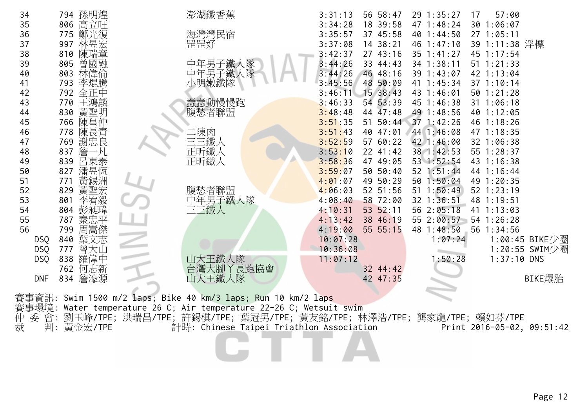| 34         | 794 孫明煌    | 澎湖鐵香蕉                                                                  | 56 58:47<br>3:31:13 | 29 1:35:27<br>17 | 57:00          |
|------------|------------|------------------------------------------------------------------------|---------------------|------------------|----------------|
| 35         | 高立旺<br>806 |                                                                        | 3:34:28<br>18 39:58 | 47 1:48:24       | 30 1:06:07     |
| 36         | 鄭光復<br>775 | 海灣灣民宿                                                                  | 3:35:57<br>37 45:58 | 40 1:44:50       | 27 1:05:11     |
| 37         | 林昱宏<br>997 | 罡罡好                                                                    | 3:37:08<br>14 38:21 | 46 1:47:10       | 39 1:11:38 浮標  |
| 38         | 陳瑞章<br>810 |                                                                        | 3:42:37<br>27 43:16 | $35 \t1:41:27$   | 45 1:17:54     |
| 39         | 曾國融<br>805 | 中年男子鐵人隊                                                                | 3:44:26<br>33 44:43 | 34 1:38:11       | $51 \t1:21:33$ |
| 40         | 林偉倫<br>803 | 中年男子鐵人                                                                 | 3:44:26<br>46 48:16 | 39 1:43:07       | 42 1:13:04     |
| 41         | 李焜騰<br>793 | 小明嫩鐵隊                                                                  | 48 50:09<br>3:45:56 | 41 1:45:34       | 37 1:10:14     |
|            |            |                                                                        |                     | 43 1:46:01       | 50 1:21:28     |
| 42         | 792<br>全正中 |                                                                        | 15 38:43<br>3:46:11 |                  |                |
| 43         | 王鴻麟<br>770 | 蠢蠢動慢慢跑                                                                 | 54 53:39<br>3:46:33 | 45 1:46:38       | 31 1:06:18     |
| 44         | 黃聖明<br>830 | 腹愁者聯盟                                                                  | 3:48:48<br>44 47:48 | 49 1:48:56       | 40 1:12:05     |
| 45         | 陳皇仲<br>766 |                                                                        | 3:51:35<br>51 50:44 | 371:42:26        | 46 1:18:26     |
| 46         | 陳長青<br>778 | :陳肉                                                                    | 40 47:01<br>3:51:43 | 44 1:46:08       | 47 1:18:35     |
| 47         | 謝忠良<br>769 | 三三鐵人                                                                   | 3:52:59<br>57 60:22 | 42 1:46:00       | 32 1:06:38     |
| 48         | 詹<br>837   | 正昕鐵人                                                                   | 3:53:10<br>22 41:42 | 38 1:42:53       | 55 1:28:37     |
| 49         | 呂東泰<br>839 | 正昕鐵人                                                                   | 3:58:36<br>47 49:05 | 53 1:52:54       | 43 1:16:38     |
| 50         | 潘昱恆<br>827 |                                                                        | 3:59:07<br>50 50:40 | 52 1:51:44       | 44 1:16:44     |
| 51         | 黃錫洲<br>771 |                                                                        | 49 50:29<br>4:01:07 | 50 1:50:04       | 49 1:20:35     |
| 52         | 黃聖宏<br>829 | 腹愁者聯盟                                                                  | 52 51:56<br>4:06:03 | $51 \t1:50:49$   | $52$ $1:23:19$ |
| 53         | 李宥毅<br>801 | 产年男子鐵人隊<br>三三鐵人                                                        | 58 72:00<br>4:08:40 | 32 1:36:51       | 48 1:19:51     |
| 54         | 彭昶瑋<br>804 |                                                                        | 53 52:11<br>4:10:31 | 56 2:05:18       | 41 1:13:03     |
| 55         | 秦忠平<br>787 |                                                                        | 4:13:42<br>38 46:19 | 55 2:00:57       | 54 1:26:28     |
| 56         | 周嵩傑<br>799 |                                                                        | 4:19:00<br>55 55:15 | 48 1:48:50       | 56 1:34:56     |
| <b>DSQ</b> | 葉文志<br>840 |                                                                        | 10:07:28            | 1:07:24          | 1:00:45 BIKE少圈 |
| <b>DSQ</b> | 曾大山<br>777 |                                                                        | 10:36:08            |                  | 1:20:55 SWIM少圈 |
| <b>DSQ</b> | 羅偉中<br>838 | 山大王鐵人隊                                                                 | 11:07:12            | 1:50:28          | $1:37:10$ DNS  |
|            | 何志新<br>762 | 台灣大腳丫長跑協會                                                              | 32 44:42            |                  |                |
| <b>DNF</b> | 834 詹濠源    | 山大王鐵人隊                                                                 | 42 47:35            |                  | BIKE爆胎         |
|            |            |                                                                        |                     |                  |                |
| 賽事資訊:      |            | Swim 1500 m/2 laps; Bike 40 km/3 laps; Run 10 km/2 laps                |                     |                  |                |
| 賽事環境:      |            | Water temperature 26 C; Air temperature 22-26 C; Wetsuit swim          |                     |                  |                |
| 仲<br>委     | 會:         | 劉玉峰/TPE; 洪瑞昌/TPE; 許錫棋/TPE; 葉冠男/TPE; 黃友銘/TPE; 林澤浩/TPE; 龔家龍/TPE; 賴如芬/TPE |                     |                  |                |
|            |            |                                                                        |                     |                  |                |

裁 判: 黃金宏/TPE 計時: Chinese Taipei Triathlon Association Print 2016-05-02, 09:51:42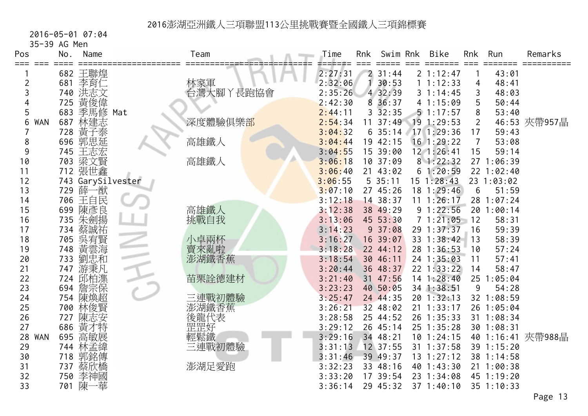2016-05-01 07:04

| 35-39 AG Men     |     |                   |                  |         |     |            |                |                 |            |                   |
|------------------|-----|-------------------|------------------|---------|-----|------------|----------------|-----------------|------------|-------------------|
| Pos              | No. | Name              | Team             | Time    | Rnk | Swim Rnk   | Bike           | Rnk             | Run        | Remarks           |
|                  |     | 682 王聯煌           |                  | 2:27:31 |     | 231:44     | 2 1:12:47      |                 | 43:01      |                   |
| 2                | 681 | 李育仁               |                  | 2:32:06 |     | 30:53      | 1 1:12:33      | 4               | 48:41      |                   |
| 3                | 740 | 洪志文               | 林家軍<br>台灣大腳丫長跑協會 | 2:35:26 |     | 4 32:39    | 31:14:45       | 3               | 48:03      |                   |
|                  | 725 | 黃俊偉               |                  | 2:42:30 |     | 8 36:37    | 4 1:15:09      | 5               | 50:44      |                   |
| 5                |     | 683 季馬修 Mat       |                  | 2:44:11 |     | $3\,32:35$ | 51:17:57       | 8               | 53:40      |                   |
| 6<br><b>WAN</b>  | 687 | 林建志               | 深度體驗俱樂部          | 2:54:34 | 11  | 37:49      | 19 1:29:53     | $\overline{2}$  |            | 46:53 夾帶957晶      |
|                  | 728 | 黃子泰               |                  | 3:04:32 |     | 635:14     | 17 1:29:36     | 17              | 59:43      |                   |
| 8                |     | 696 郭思延           | 高雄鐵人             | 3:04:44 |     | 19 42:15   | $16$ 1:29:22   | 7               | 53:08      |                   |
| 9                |     | 745 王志宏           |                  | 3:04:55 |     | 15 39:00   | $12 \t1:26:41$ | 15              | 59:14      |                   |
| 10               | 703 | 梁文賢               | 高雄鐵人             | 3:06:18 |     | 10 37:09   | 81:22:32       |                 | 27 1:06:39 |                   |
| 11               |     | 712 張世鑫           |                  | 3:06:40 |     | 21 43:02   | 61:20:59       |                 | 22 1:02:40 |                   |
| 12               |     | 743 GarySilvester |                  | 3:06:55 |     | 535:11     | $15 \t1:28:43$ |                 | 23 1:03:02 |                   |
| 13               |     | 729 薛一猷           |                  | 3:07:10 |     | 27 45:26   | 18 1:29:46     | 6               | 51:59      |                   |
| 14               |     | 706 王自民           |                  | 3:12:18 |     | 14 38:37   | $11 \t1:26:17$ |                 | 28 1:07:24 |                   |
| 15               | 699 | 陳彥良               | 高雄鐵人             | 3:12:38 |     | 38 49:29   | 91:22:56       |                 | 20 1:00:14 |                   |
| 16               | 735 | 朱劍揚               | 挑戰自我             | 3:13:06 |     | 45 53:30   | 71:21:05       | 12              | 58:31      |                   |
| 17               | 734 | 蔡誠祐               |                  | 3:14:23 |     | 937:08     | 29 1:37:37     | 16              | 59:39      |                   |
| 18               | 705 | 吳宥賢               | 小卓兩杯             | 3:16:27 |     | 16 39:07   | 33 1:38:42     | 13              | 58:39      |                   |
| 19               | 748 | 黃雲海               | 賣來亂啦             | 3:18:28 |     | 22 44:12   | 28 1:36:53     | 10              | 57:24      |                   |
| 20               | 733 | 劉忠和               | 澎湖鐵香蕉            | 3:18:54 |     | 30 46:11   | 24 1:35:03     | 11              | 57:41      |                   |
| 21               | 747 | 游秉凡               |                  | 3:20:44 |     | 36 48:37   | 22 1:33:22     | 14              | 58:47      |                   |
| 22               |     | 724 邱柏潗           | 苗栗詮德建材           | 3:21:40 |     | 31 47:56   | $14$ 1:28:40   | 25 <sub>1</sub> | :05:04     |                   |
| 23               | 694 | 詹宗保               |                  | 3:23:23 |     | 40 50:05   | 34 1:38:51     | 9               | 54:28      |                   |
| 24               |     | 754 陳煥超           | 三連戰初體驗           | 3:25:47 |     | 24 44:35   | 20 1:32:13     |                 | 32 1:08:59 |                   |
| 25               | 700 | 林俊賢               | 澎湖鐵香蕉            | 3:26:21 |     | 32 48:02   | $21 \t1:33:17$ |                 | 26 1:05:04 |                   |
| 26               | 727 | 陳志安               |                  | 3:28:58 |     | 25 44:52   | 26 1:35:33     |                 | 31 1:08:34 |                   |
| 27               | 686 | 黃才特               | 後罡鬆<br>麗罡鬆<br>輕鬆 | 3:29:12 |     | 26 45:14   | 25 1:35:28     |                 | 30 1:08:31 |                   |
| 28<br><b>WAN</b> | 695 | 高敏展               |                  | 3:29:16 |     | 34 48:21   | $10$ 1:24:15   |                 |            | 40 1:16:41 夾帶988晶 |
| 29               |     | 744 林孟緯           | 三連戰初體驗           | 3:31:13 |     | 12 37:55   | 31 1:37:58     |                 | 39 1:15:20 |                   |
| 30               | 718 | 郭銘傳               |                  | 3:31:46 |     | 39 49:37   | 13 1:27:12     |                 | 38 1:14:58 |                   |
| 31               |     | 737 蔡欣橋           | 澎湖足愛跑            | 3:32:23 |     | 33 48:16   | 40 1:43:30     |                 | 21 1:00:38 |                   |
| 32               | 750 | 李神國               |                  | 3:33:20 |     | 17 39:54   | 23 1:34:08     |                 | 45 1:19:20 |                   |
| 33               |     | 701 陳一華           |                  | 3:36:14 |     | 29 45:32   | 37 1:40:10     |                 | 35 1:10:33 |                   |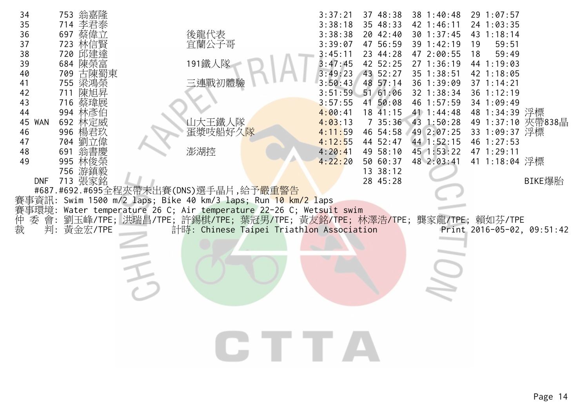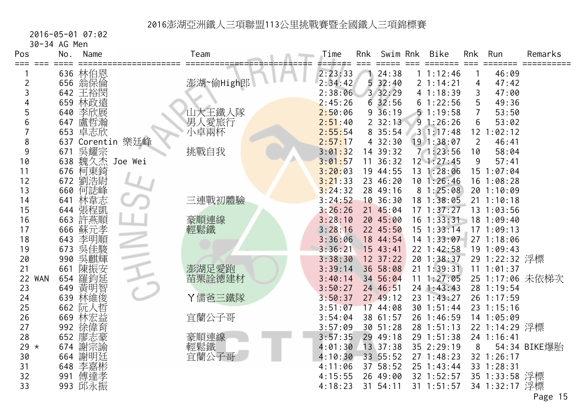2016-05-01 07:02

| 30-34 AG Men |  |  |
|--------------|--|--|
|--------------|--|--|

| Pos<br>===       | No. | Name                       |                  | Team          | Time    | Rnk | Swim Rnk     | <b>Bike</b>    | Rnk            | Run            | Remarks         |
|------------------|-----|----------------------------|------------------|---------------|---------|-----|--------------|----------------|----------------|----------------|-----------------|
|                  |     | 636 林伯恩                    |                  |               | 2:23:33 |     | 124:38       | 11:12:46       |                | 46:09          |                 |
| 2                |     | 656 翁保倫                    |                  | 澎湖~偷High郎     | 2:34:42 |     | 532:40       | 2 1:14:21      | 4              | 47:42          |                 |
| 3                |     | 642 王裕閔                    |                  |               | 2:38:06 |     | 3 32:29      | 41:18:39       | 3              | 47:00          |                 |
|                  |     | 659 林政遠                    |                  |               | 2:45:26 |     | 632:56       | 61:22:56       | 5              | 49:36          |                 |
| 5                |     | 640 李欣展                    |                  | 山大王鐵人隊        | 2:50:06 |     | $9\,36:19$   | 51:19:58       | $\overline{7}$ | 53:50          |                 |
| 6                |     | 647 盧哲瀚                    |                  |               | 2:51:40 |     | 232:13       | 91:26:26       | 6              | 53:02          |                 |
|                  |     | 653 卓志欣                    |                  | 男人愛旅行<br>小卓兩杯 | 2:55:54 |     | 8 35:54      | 31:17:48       |                | 12 1:02:12     |                 |
| 8                |     |                            | 637 Corentin 樂廷峰 |               | 2:57:17 |     | 432:30       | $19$ 1:38:07   | $\overline{2}$ | 46:41          |                 |
| 9                |     | 671 吳耀宗<br>638 魏久杰 Joe Wei |                  | 挑戰自我          | 3:01:32 |     | 14 39:32     | 71:23:56       | 10             | 58:04          |                 |
| 10               |     |                            |                  |               | 3:01:57 | 11  | 36:32        | $12$ $1:27:45$ | 9              | 57:41          |                 |
| 11               |     | 676 柯東錡                    |                  |               | 3:20:03 |     | 19 44:55     | 13 1:28:06     |                | 15 1:07:04     |                 |
| 12               | 672 | 劉浩尉                        |                  |               | 3:21:33 |     | 23 46:20     | $10$ 1:26:46   |                | $16$ 1:08:28   |                 |
| 13               | 660 | 何誌峰                        |                  |               | 3:24:32 |     | 28 49:16     | 81:25:08       |                | 20 1:10:09     |                 |
| 14               | 641 | 林韋志                        |                  | 三連戰初體驗        | 3:24:52 |     | 10.36:30     | 18 1:38:05     |                | $21 \t1:10:18$ |                 |
| 15               |     | 644 張程凱                    |                  |               | 3:26:26 |     | 21 45:04     | $17$ $1:37:27$ |                | 13 1:03:56     |                 |
| 16               |     | 663 許燕順                    |                  | 豪順連線          | 3:28:10 |     | 20 45:00     | $16$ 1:33:31   |                | 18 1:09:40     |                 |
| 17               | 666 | 蘇元孝                        |                  | 輕鬆鐵           | 3:28:16 |     | 22 45:50     | $15$ $1:33:14$ |                | 171:09:13      |                 |
| 18               | 643 | 李明順                        |                  |               | 3:36:06 |     | 18 44:54     | $14$ 1:33:07   |                | 27 1:18:06     |                 |
| 19               | 673 | 吳佳駿                        |                  |               | 3:36:21 |     | 15 43:41     | 22 1:42:58     |                | 19 1:09:43     |                 |
| 20               | 990 | 吳麒輝                        |                  |               | 3:38:30 |     | $12 \t37:22$ | 20 1:38:37     |                | 29 1:22:32 浮標  |                 |
| 21               | 661 | 陳振安                        |                  | 澎湖足愛跑         | 3:39:14 |     | 36 58:08     | $21 \t1:39:31$ |                | 11 1:01:37     |                 |
| <b>WAN</b><br>22 | 654 | 羅鈞延                        |                  | 苗栗詮德建材        | 3:40:14 |     | 34 56:04     | $11 \t1:27:05$ |                |                | 25 1:17:06 未依梯次 |
| 23               | 649 |                            |                  |               | 3:50:27 |     | 24 46:51     | $24$ 1:43:43   |                | 28 1:19:54     |                 |
| 24               | 639 | 黃明智俊                       |                  | Y儒爸三鐵隊        | 3:50:37 |     | 27 49:12     | 23 1:43:27     |                | 26 1:17:59     |                 |
| 25               |     | 662 阮人哲                    |                  |               | 3:51:07 |     | 17 44:08     | 30 1:51:44     |                | 23 1:15:16     |                 |
| 26               |     | 669 林宏益                    |                  | 宜蘭公子哥         | 3:54:04 |     | 38 61:57     | 26 1:46:59     |                | 14 1:05:09     |                 |
| 27               |     | 992 徐偉育                    |                  |               | 3:57:09 |     | 30 51:28     | 28 1:51:13     |                | 22 1:14:29 浮標  |                 |
| 28               | 652 | 廖志豪                        |                  | 豪順連線          | 3:57:35 |     | 29 49:18     | 29 1:51:38     |                | 24 1:16:41     |                 |
| 29 $*$           |     | 674 謝宗諭                    |                  | 輕鬆鐵           | 4:01:30 |     | 13 37:38     | 35 2:29:19     | 8              |                | 54:34 BIKE爆胎    |
| 30               |     | 664 謝明廷                    |                  | 宜蘭公子哥         | 4:10:30 |     | 33 55:52     | 271:48:23      |                | 32 1:26:17     |                 |
| 31               | 648 | 李嘉彬                        |                  |               | 4:11:06 |     | 37 58:52     | $25$ 1:43:44   |                | 33 1:28:31     |                 |
| 32               | 991 | 傅達孝                        |                  |               | 4:15:55 |     | 26 49:00     | 32 1:52:57     |                | 35 1:33:58 浮標  |                 |
| 33               |     | 993 邱永振                    |                  |               | 4:18:23 | 31  | 54:11        | 31 1:51:57     |                | 34 1:32:17 浮標  |                 |
|                  |     |                            |                  |               |         |     |              |                |                |                | Page 15         |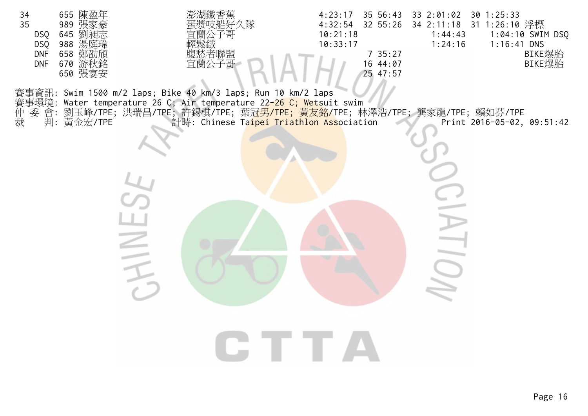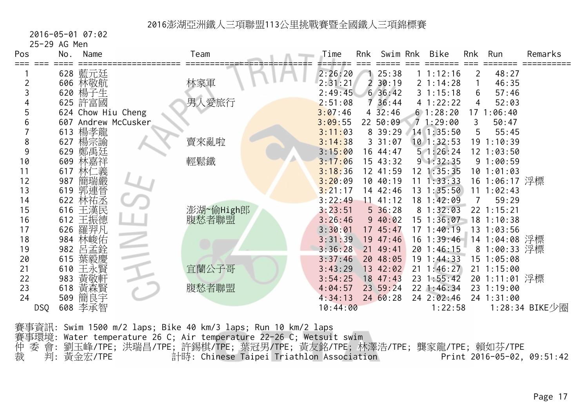2016-05-01 07:02

25-29 AG Men

| Pos        | No. | Name                | Team      | Time     | Rnk | Swim Rnk      | Bike           | Rnk | Run            | Remarks        |
|------------|-----|---------------------|-----------|----------|-----|---------------|----------------|-----|----------------|----------------|
|            |     | 628 藍元廷             |           | 2:26:20  |     | 25:38         | 1 1:12:16      | 2   | 48:27          |                |
|            |     | 606 林敬航             | 林家軍       | 2:31:21  |     | 30:19         | 2 1:14:28      |     | 46:35          |                |
|            |     | 620 楊子生             |           | 2:49:45  |     | 636:42        | 31:15:18       | 6   | 57:46          |                |
|            |     | 625 許富國             | 男人愛旅行     | 2:51:08  |     | 736:44        | 4 1:22:22      | 4   | 52:03          |                |
|            |     | 624 Chow Hiu Cheng  |           | 3:07:46  |     | $4 \, 32:46$  | 61:28:20       |     | 17 1:06:40     |                |
|            |     | 607 Andrew McCusker |           | 3:09:55  |     | 22 50:09      | 71:29:00       | 3   | 50:47          |                |
|            | 613 | 楊孝龍                 |           | 3:11:03  |     | 8 39:29       | 14 1:35:50     | 5   | 55:45          |                |
| 8          | 627 | 楊宗諭                 | 賣來亂啦      | 3:14:38  |     | 331:07        | $10$ 1:32:53   |     | 19 1:10:39     |                |
| 9          | 629 | 鄭禹廷                 |           | 3:15:00  |     | 16 44:47      | 51:26:24       |     | $12 \t1:03:50$ |                |
| 10         | 609 |                     | 輕鬆鐵       | 3:17:06  |     | 15 43:32      | 91:32:35       |     | 91:00:59       |                |
| 11         | 617 | 林仁義                 |           | 3:18:36  |     | 12 41:59      | 12 1:35:35     |     | 10 1:01:03     |                |
| 12         | 987 | 簡瑞嚴                 |           | 3:20:09  |     | 10 40:19      | $11 \t1:33:33$ |     | 16 1:06:17 浮標  |                |
| 13         |     | 619 郭連晉             |           | 3:21:17  |     | 14 42:46      | 13 1:35:50     |     | 11 1:02:43     |                |
| 14         | 622 | 林祐丞                 |           | 3:22:49  |     | $11 \t41:12$  | 18 1:42:09     | 7   | 59:29          |                |
| 15         | 616 | 王漢民                 | 澎湖~偷High郎 | 3:23:51  |     | $5\,36:28$    | 81:32:03       |     | 22 1:15:21     |                |
| 16         | 612 | 王振德                 | 腹愁者聯盟     | 3:26:46  |     | 940:02        | 15 1:36:07     |     | $18$ 1:10:38   |                |
| 17         | 626 | 羅羿凡                 |           | 3:30:01  |     | 17 45:47      | 171:40:19      |     | 13 1:03:56     |                |
| 18         | 984 | 林峻佑                 |           | 3:31:39  |     | 19 47:46      | $16$ 1:39:46   |     | 14 1:04:08 浮標  |                |
| 19         | 982 | 몸                   |           | 3:36:28  |     | 21 49:41      | 20 1:46:15     |     | 8 1:00:33 浮標   |                |
| 20         | 615 | 葉毅慶                 |           | 3:37:46  |     | 20 48:05      | 19 1:44:33     |     | 15 1:05:08     |                |
| 21         | 610 | 王永賢                 | 宜蘭公子哥     | 3:43:29  |     | 13 42:02      | $21 \t1:46:27$ |     | $21 \t1:15:00$ |                |
| 22         | 983 | 黃敬軒                 |           | 3:54:25  |     | 18 47:43      | 23 1:55:42     |     | 20 1:11:01 浮標  |                |
| 23         | 618 | 黃森賢                 | 腹愁者聯盟     | 4:04:57  |     | $23 \t 59:24$ | $22$ 1:46:34   |     | 23 1:19:00     |                |
| 24         | 509 | 簡良宇                 |           | 4:34:13  |     | 2460:28       | 24 2:02:46     |     | 24 1:31:00     |                |
| <b>DSQ</b> |     | 608 李承智             |           | 10:44:00 |     |               | 1:22:58        |     |                | 1:28:34 BIKE少圈 |

賽事資訊: Swim 1500 m/2 laps; Bike 40 km/3 laps; Run 10 km/2 laps 賽事環境: Water temperature 26 C; Air temperature 22-26 C; Wetsuit swim 仲 委 會: 劉玉峰/TPE; 洪瑞昌/TPE; 許錫棋/TPE; 葉冠男/TPE; 黃友銘/TPE; 林澤浩/TPE; 龔家龍/TPE; 賴如芬/TPE 裁 判: 黃金宏/TPE 計時: Chinese Taipei Triathlon Association Print 2016-05-02, 09:51:42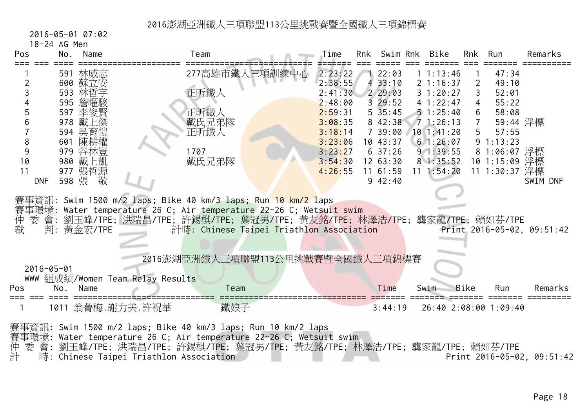2016-05-01 07:02

18-24 AG Men

| Pos        | No.                                                                                                                                                                                                                                                                                               | Name               |                                  | Team  |                                  | Time               | Rnk | Swim Rnk               |  | Bike                  | Rnk            | Run                   | Remarks  |
|------------|---------------------------------------------------------------------------------------------------------------------------------------------------------------------------------------------------------------------------------------------------------------------------------------------------|--------------------|----------------------------------|-------|----------------------------------|--------------------|-----|------------------------|--|-----------------------|----------------|-----------------------|----------|
|            |                                                                                                                                                                                                                                                                                                   | 591 林威志<br>600 蘇立安 |                                  |       | 277高雄市鐵人三項訓練中心                   | 2:23:22<br>2:38:55 |     | 122:03<br>433:10       |  | 11:13:46<br>2 1:16:37 | $\overline{2}$ | 47:34<br>49:10        |          |
|            |                                                                                                                                                                                                                                                                                                   | 593 林哲宇            |                                  | 正昕鐵人  |                                  | 2:41:30            |     | 229:03                 |  | 31:20:27              | $\mathsf{3}$   | 52:01                 |          |
|            |                                                                                                                                                                                                                                                                                                   | 595 詹曜駿            |                                  |       |                                  | 2:48:00            |     | 329:52                 |  | 41:22:47              | $\overline{4}$ | 55:22                 |          |
|            |                                                                                                                                                                                                                                                                                                   | 597 李俊賢            |                                  | 正昕鐵人  |                                  | 2:59:31            |     | $5\overline{35}:45$    |  | 51:25:40              | 6              | 58:08                 |          |
|            |                                                                                                                                                                                                                                                                                                   | 978 戴上傑            |                                  | 戴氏兄弟隊 |                                  | 3:08:35            |     | 8 42:38                |  | 71:26:13              | 7 <sup>7</sup> | 59:44 浮標              |          |
|            |                                                                                                                                                                                                                                                                                                   | 594 吳育愷            |                                  | 正昕鐵人  |                                  | 3:18:14            |     | 7 39:00                |  | 101:41:20             |                | 5 57:55               |          |
| 8          |                                                                                                                                                                                                                                                                                                   | 601 陳耕權            |                                  |       |                                  | 3:23:06            |     | 1043:37                |  | 61:26:07              |                | 91:13:23              |          |
| 9          |                                                                                                                                                                                                                                                                                                   | 979 谷林豈            |                                  | 1707  |                                  | 3:23:27            |     | $6\;37:26$             |  | 91:39:55              |                | 8 1:06:07 浮標          |          |
| 10<br>11   |                                                                                                                                                                                                                                                                                                   | 980 戴上凱            |                                  | 戴氏兄弟隊 |                                  | 3:54:30            |     | 1263:30                |  | 81:35:52              |                | 10 1:15:09 浮標         |          |
| <b>DNF</b> |                                                                                                                                                                                                                                                                                                   | 977 張哲源<br>598 張 敬 |                                  |       |                                  | 4:26:55            |     | $11 \t61:59$<br>942:40 |  | $11 \t1:54:20$        |                | 11 1:30:37 浮標         | SWIM DNF |
|            |                                                                                                                                                                                                                                                                                                   |                    |                                  |       |                                  |                    |     |                        |  |                       |                |                       |          |
| 仲裁         | 賽事資訊: Swim 1500 m/2 laps; Bike 40 km/3 laps; Run 10 km/2 laps<br>賽事環境: Water temperature 26 C; Air temperature 22-26 C; Wetsuit swim<br>委會:劉玉峰/TPE;洪瑞昌/TPE;許錫棋/TPE;葉冠男/TPE;黃友銘/TPE;林澤浩/TPE;龔家龍/TPE;賴如芬/TPE<br>判:黃金宏/TPE<br>計時: Chinese Taipei Triathlon Association<br>Print 2016-05-02, 09:51:42 |                    |                                  |       |                                  |                    |     |                        |  |                       |                |                       |          |
|            |                                                                                                                                                                                                                                                                                                   |                    |                                  |       | 2016澎湖亞洲鐵人三項聯盟113公里挑戰賽暨全國鐵人三項錦標賽 |                    |     |                        |  |                       |                |                       |          |
|            | $2016 - 05 - 01$                                                                                                                                                                                                                                                                                  |                    |                                  |       |                                  |                    |     |                        |  |                       |                |                       |          |
|            |                                                                                                                                                                                                                                                                                                   |                    | WWW 組成績/Women Team Relay Results |       |                                  |                    |     |                        |  |                       |                |                       |          |
| Pos        | No.                                                                                                                                                                                                                                                                                               | Name               |                                  | Team  |                                  |                    |     | Time                   |  | Swim                  | Bike           | Run                   | Remarks  |
|            |                                                                                                                                                                                                                                                                                                   |                    |                                  |       |                                  |                    |     |                        |  |                       |                |                       |          |
|            |                                                                                                                                                                                                                                                                                                   |                    | 1011 翁菁梅.謝力美.許祝華                 | 鐵娘子   |                                  |                    |     | 3:44:19                |  |                       |                | 26:40 2:08:00 1:09:40 |          |
|            | 賽事資訊: Swim 1500 m/2 laps; Bike 40 km/3 laps; Run 10 km/2 laps<br>賽事環境: Water temperature 26 C; Air temperature 22-26 C; Wetsuit swim<br>委 會: 劉玉峰/TPE; 洪瑞昌/TPE; 許錫棋/TPE; 葉冠男/TPE; 黃友銘/TPE; 林澤浩/TPE; 龔家龍/TPE; 賴如芬/TPE<br>時: Chinese Taipei Triathlon Association<br>Print 2016-05-02, 09:51:42      |                    |                                  |       |                                  |                    |     |                        |  |                       |                |                       |          |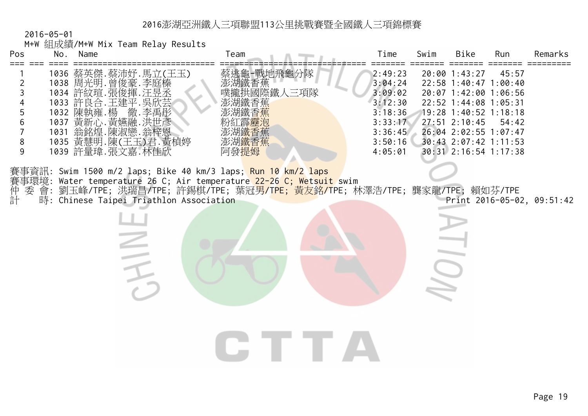|                                                            | $2016 - 05 - 01$ |            |                                                                                                                                                                |                                                                                                                                                                                                                                        |                                                                                                 |      |                                                                                                                                                                                                                   |                |                            |
|------------------------------------------------------------|------------------|------------|----------------------------------------------------------------------------------------------------------------------------------------------------------------|----------------------------------------------------------------------------------------------------------------------------------------------------------------------------------------------------------------------------------------|-------------------------------------------------------------------------------------------------|------|-------------------------------------------------------------------------------------------------------------------------------------------------------------------------------------------------------------------|----------------|----------------------------|
| Pos                                                        |                  | No. Name   | M+W 組成績/M+W Mix Team Relay Results                                                                                                                             | Team                                                                                                                                                                                                                                   | Time                                                                                            | Swim | <b>Bike</b>                                                                                                                                                                                                       | Run            | Remarks                    |
| 2<br>3<br>$\mathbf 5$<br>$6\,$<br>$\overline{7}$<br>8<br>9 |                  | 1032 陳執雍.楊 | 1036 蔡英傑.蔡沛妤.馬立(王玉)<br>1038 周光明. 曾俊豪. 李庭榛<br>1034 許紋瑄.張俊揮.汪<br>1033 許良合.王建平.吳<br>.李禹彤<br>徹<br>1037 黃新心. 黃嬿融. 洪世彥<br>1035 黃慧明.陳(王玉)君. 黃楨婷<br>1039 許量瑋. 張文嘉. 林佳欣 | 蔡逃龜-戰地飛龜分隊<br>澎湖鐵香蕉<br>噗攏拱國際鐵人三項隊<br>霹靂润<br>澎湖 <mark>鐵否</mark> 焦<br>澎湖鐵香蕉<br>阿發提姆<br>賽事資訊: Swim 1500 m/2 laps; Bike 40 km/3 laps; <mark>Run 10 km/2 laps</mark><br>賽事環境: Water temperature 26 C; Air temperature 22-26 C; Wetsuit swim | 2:49:23<br>3:04:24<br>3:09:02<br>3:12:30<br>3:18:36<br>3:33:17<br>3:36:45<br>3:50:16<br>4:05:01 |      | 20:00 1:43:27<br>22:58 1:40:47 1:00:40<br>20:07 1:42:00 1:06:56<br>22:52 1:44:08 1:05:31<br>19:28 1:40:52 1:18:18<br>$27:51$ $2:10:45$<br>26:04 2:02:55 1:07:47<br>30:43 2:07:42 1:11:53<br>30:31 2:16:54 1:17:38 | 45:57<br>54:42 |                            |
| 委<br>計                                                     |                  |            | 時: Chinese Taipei Triathlon Association                                                                                                                        | 會: 劉玉峰/TPE; 洪瑞昌/TPE; 許錫棋/TPE; 葉冠男/TPE; 黃友銘/TPE; 林澤浩/TPE; 龔家龍/TPE; 賴如芬/TPE                                                                                                                                                              |                                                                                                 |      |                                                                                                                                                                                                                   |                | Print 2016-05-02, 09:51:42 |
|                                                            |                  |            |                                                                                                                                                                |                                                                                                                                                                                                                                        |                                                                                                 |      |                                                                                                                                                                                                                   |                |                            |
|                                                            |                  |            |                                                                                                                                                                |                                                                                                                                                                                                                                        |                                                                                                 |      |                                                                                                                                                                                                                   |                |                            |